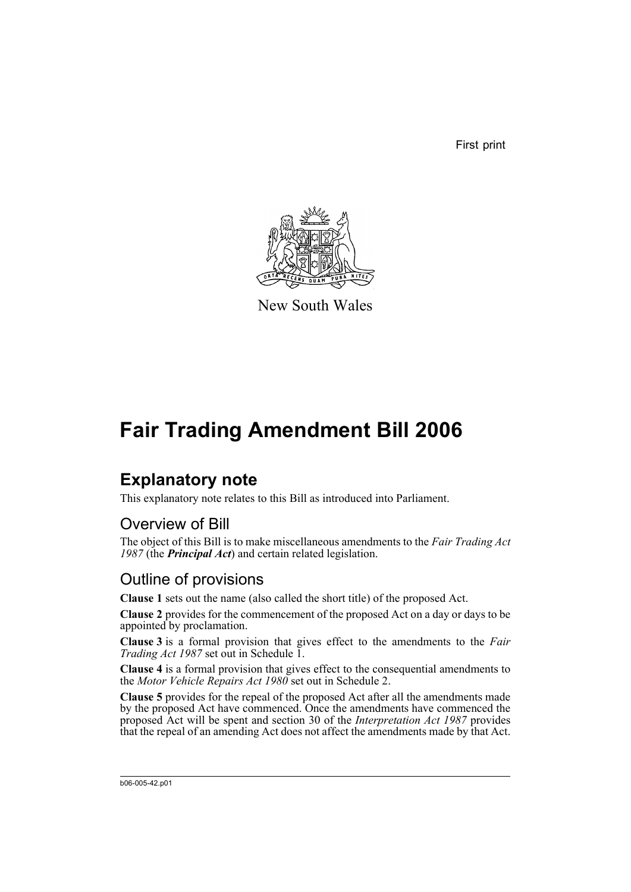First print



New South Wales

# **Fair Trading Amendment Bill 2006**

## **Explanatory note**

This explanatory note relates to this Bill as introduced into Parliament.

### Overview of Bill

The object of this Bill is to make miscellaneous amendments to the *Fair Trading Act* 1987 (the **Principal Act**) and certain related legislation.

### Outline of provisions

**Clause 1** sets out the name (also called the short title) of the proposed Act.

**Clause 2** provides for the commencement of the proposed Act on a day or days to be appointed by proclamation.

**Clause 3** is a formal provision that gives effect to the amendments to the *Fair Trading Act 1987* set out in Schedule 1.

**Clause 4** is a formal provision that gives effect to the consequential amendments to the *Motor Vehicle Repairs Act 1980* set out in Schedule 2.

**Clause 5** provides for the repeal of the proposed Act after all the amendments made by the proposed Act have commenced. Once the amendments have commenced the proposed Act will be spent and section 30 of the *Interpretation Act 1987* provides that the repeal of an amending Act does not affect the amendments made by that Act.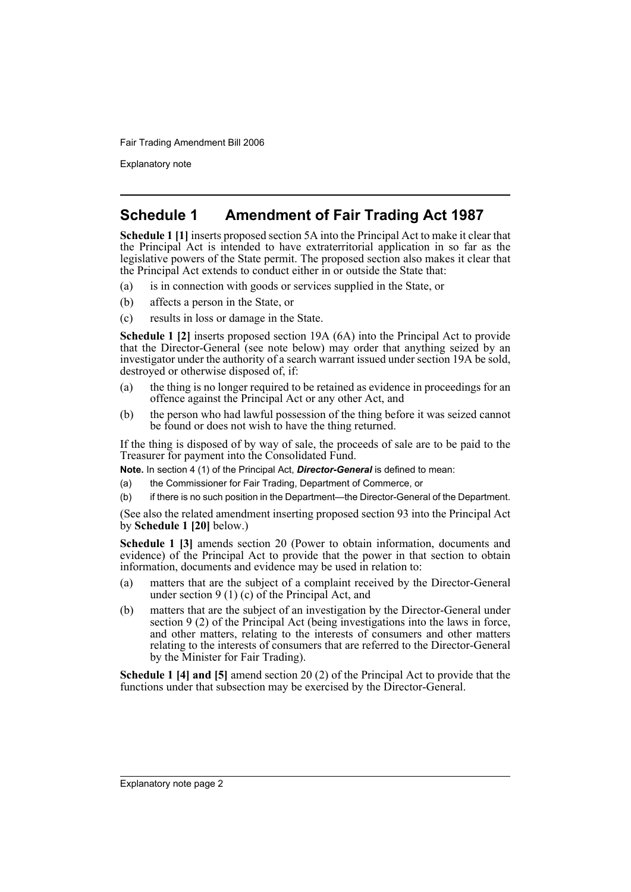Explanatory note

### **Schedule 1 Amendment of Fair Trading Act 1987**

**Schedule 1 [1]** inserts proposed section 5A into the Principal Act to make it clear that the Principal Act is intended to have extraterritorial application in so far as the legislative powers of the State permit. The proposed section also makes it clear that the Principal Act extends to conduct either in or outside the State that:

- (a) is in connection with goods or services supplied in the State, or
- (b) affects a person in the State, or
- (c) results in loss or damage in the State.

**Schedule 1 [2]** inserts proposed section 19A (6A) into the Principal Act to provide that the Director-General (see note below) may order that anything seized by an investigator under the authority of a search warrant issued under section 19A be sold, destroyed or otherwise disposed of, if:

- (a) the thing is no longer required to be retained as evidence in proceedings for an offence against the Principal Act or any other Act, and
- (b) the person who had lawful possession of the thing before it was seized cannot be found or does not wish to have the thing returned.

If the thing is disposed of by way of sale, the proceeds of sale are to be paid to the Treasurer for payment into the Consolidated Fund.

**Note.** In section 4 (1) of the Principal Act, *Director-General* is defined to mean:

- (a) the Commissioner for Fair Trading, Department of Commerce, or
- (b) if there is no such position in the Department—the Director-General of the Department.

(See also the related amendment inserting proposed section 93 into the Principal Act by **Schedule 1 [20]** below.)

**Schedule 1 [3]** amends section 20 (Power to obtain information, documents and evidence) of the Principal Act to provide that the power in that section to obtain information, documents and evidence may be used in relation to:

- (a) matters that are the subject of a complaint received by the Director-General under section 9 (1) (c) of the Principal Act, and
- (b) matters that are the subject of an investigation by the Director-General under section 9 (2) of the Principal Act (being investigations into the laws in force, and other matters, relating to the interests of consumers and other matters relating to the interests of consumers that are referred to the Director-General by the Minister for Fair Trading).

**Schedule 1 [4] and [5]** amend section 20 (2) of the Principal Act to provide that the functions under that subsection may be exercised by the Director-General.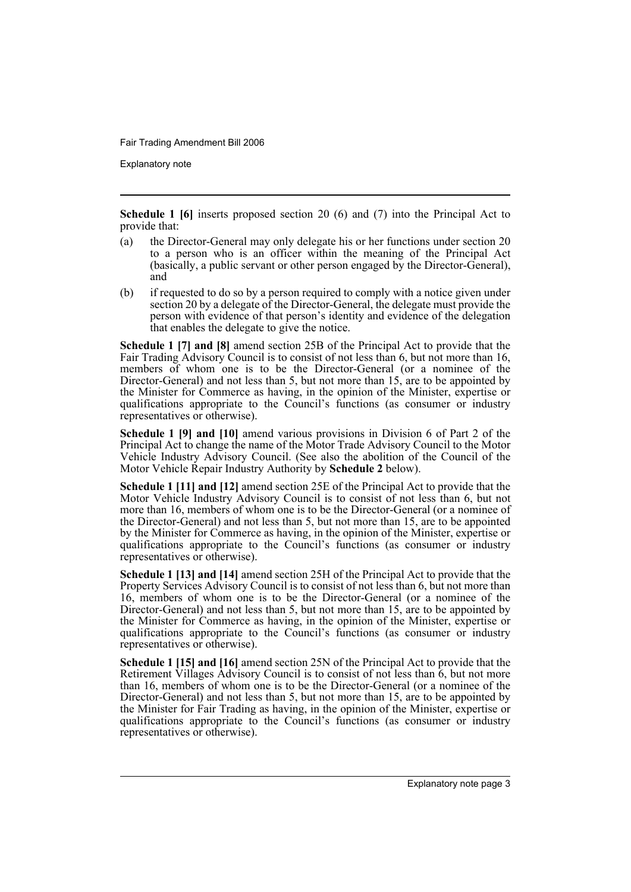Explanatory note

**Schedule 1 [6]** inserts proposed section 20 (6) and (7) into the Principal Act to provide that:

- (a) the Director-General may only delegate his or her functions under section 20 to a person who is an officer within the meaning of the Principal Act (basically, a public servant or other person engaged by the Director-General), and
- (b) if requested to do so by a person required to comply with a notice given under section 20 by a delegate of the Director-General, the delegate must provide the person with evidence of that person's identity and evidence of the delegation that enables the delegate to give the notice.

**Schedule 1 [7] and [8]** amend section 25B of the Principal Act to provide that the Fair Trading Advisory Council is to consist of not less than 6, but not more than 16, members of whom one is to be the Director-General (or a nominee of the Director-General) and not less than 5, but not more than 15, are to be appointed by the Minister for Commerce as having, in the opinion of the Minister, expertise or qualifications appropriate to the Council's functions (as consumer or industry representatives or otherwise).

**Schedule 1 [9] and [10]** amend various provisions in Division 6 of Part 2 of the Principal Act to change the name of the Motor Trade Advisory Council to the Motor Vehicle Industry Advisory Council. (See also the abolition of the Council of the Motor Vehicle Repair Industry Authority by **Schedule 2** below).

**Schedule 1 [11] and [12]** amend section 25E of the Principal Act to provide that the Motor Vehicle Industry Advisory Council is to consist of not less than 6, but not more than 16, members of whom one is to be the Director-General (or a nominee of the Director-General) and not less than 5, but not more than 15, are to be appointed by the Minister for Commerce as having, in the opinion of the Minister, expertise or qualifications appropriate to the Council's functions (as consumer or industry representatives or otherwise).

**Schedule 1 [13] and [14]** amend section 25H of the Principal Act to provide that the Property Services Advisory Council is to consist of not less than 6, but not more than 16, members of whom one is to be the Director-General (or a nominee of the Director-General) and not less than 5, but not more than 15, are to be appointed by the Minister for Commerce as having, in the opinion of the Minister, expertise or qualifications appropriate to the Council's functions (as consumer or industry representatives or otherwise).

**Schedule 1 [15] and [16]** amend section 25N of the Principal Act to provide that the Retirement Villages Advisory Council is to consist of not less than 6, but not more than 16, members of whom one is to be the Director-General (or a nominee of the Director-General) and not less than 5, but not more than 15, are to be appointed by the Minister for Fair Trading as having, in the opinion of the Minister, expertise or qualifications appropriate to the Council's functions (as consumer or industry representatives or otherwise).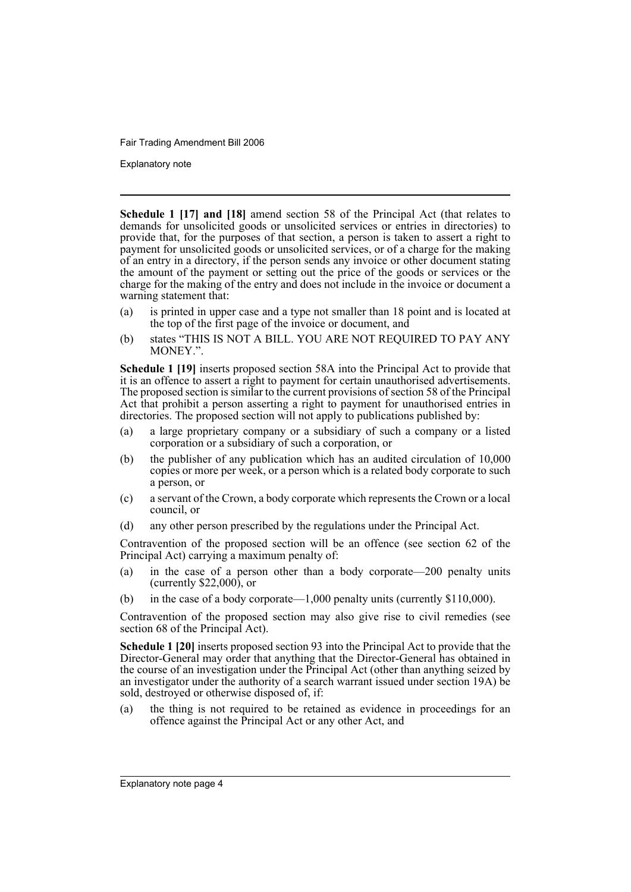Explanatory note

**Schedule 1 [17] and [18]** amend section 58 of the Principal Act (that relates to demands for unsolicited goods or unsolicited services or entries in directories) to provide that, for the purposes of that section, a person is taken to assert a right to payment for unsolicited goods or unsolicited services, or of a charge for the making of an entry in a directory, if the person sends any invoice or other document stating the amount of the payment or setting out the price of the goods or services or the charge for the making of the entry and does not include in the invoice or document a warning statement that:

- (a) is printed in upper case and a type not smaller than 18 point and is located at the top of the first page of the invoice or document, and
- (b) states "THIS IS NOT A BILL. YOU ARE NOT REQUIRED TO PAY ANY MONEY.".

**Schedule 1 [19]** inserts proposed section 58A into the Principal Act to provide that it is an offence to assert a right to payment for certain unauthorised advertisements. The proposed section is similar to the current provisions of section 58 of the Principal Act that prohibit a person asserting a right to payment for unauthorised entries in directories. The proposed section will not apply to publications published by:

- (a) a large proprietary company or a subsidiary of such a company or a listed corporation or a subsidiary of such a corporation, or
- (b) the publisher of any publication which has an audited circulation of 10,000 copies or more per week, or a person which is a related body corporate to such a person, or
- (c) a servant of the Crown, a body corporate which represents the Crown or a local council, or
- (d) any other person prescribed by the regulations under the Principal Act.

Contravention of the proposed section will be an offence (see section 62 of the Principal Act) carrying a maximum penalty of:

- (a) in the case of a person other than a body corporate—200 penalty units (currently \$22,000), or
- (b) in the case of a body corporate—1,000 penalty units (currently \$110,000).

Contravention of the proposed section may also give rise to civil remedies (see section 68 of the Principal Act).

**Schedule 1 [20]** inserts proposed section 93 into the Principal Act to provide that the Director-General may order that anything that the Director-General has obtained in the course of an investigation under the Principal Act (other than anything seized by an investigator under the authority of a search warrant issued under section 19A) be sold, destroyed or otherwise disposed of, if:

(a) the thing is not required to be retained as evidence in proceedings for an offence against the Principal Act or any other Act, and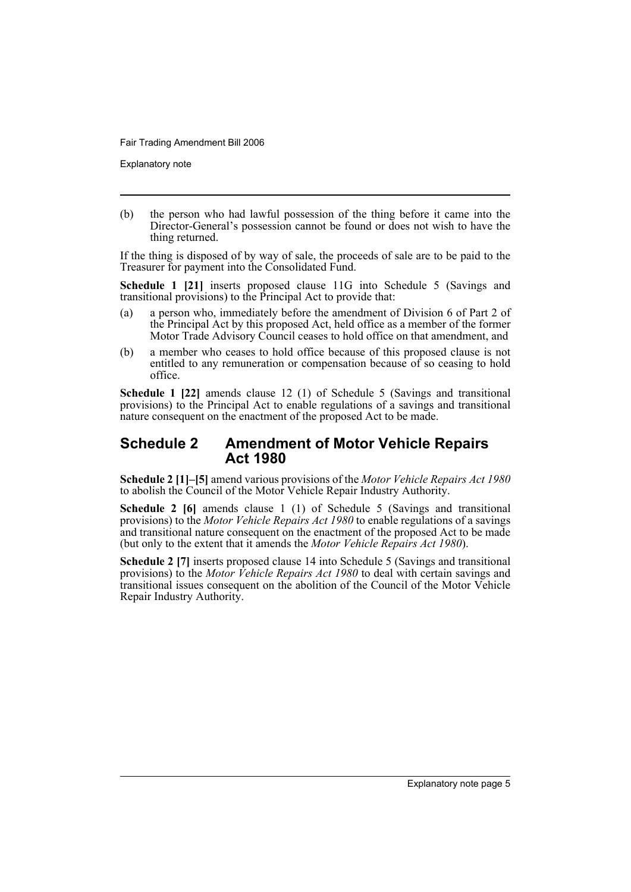Explanatory note

(b) the person who had lawful possession of the thing before it came into the Director-General's possession cannot be found or does not wish to have the thing returned.

If the thing is disposed of by way of sale, the proceeds of sale are to be paid to the Treasurer for payment into the Consolidated Fund.

**Schedule 1 [21]** inserts proposed clause 11G into Schedule 5 (Savings and transitional provisions) to the Principal Act to provide that:

- (a) a person who, immediately before the amendment of Division 6 of Part 2 of the Principal Act by this proposed Act, held office as a member of the former Motor Trade Advisory Council ceases to hold office on that amendment, and
- (b) a member who ceases to hold office because of this proposed clause is not entitled to any remuneration or compensation because of so ceasing to hold office.

**Schedule 1 [22]** amends clause 12 (1) of Schedule 5 (Savings and transitional provisions) to the Principal Act to enable regulations of a savings and transitional nature consequent on the enactment of the proposed Act to be made.

### **Schedule 2 Amendment of Motor Vehicle Repairs Act 1980**

**Schedule 2 [1]–[5]** amend various provisions of the *Motor Vehicle Repairs Act 1980* to abolish the Council of the Motor Vehicle Repair Industry Authority.

**Schedule 2 [6]** amends clause 1 (1) of Schedule 5 (Savings and transitional provisions) to the *Motor Vehicle Repairs Act 1980* to enable regulations of a savings and transitional nature consequent on the enactment of the proposed Act to be made (but only to the extent that it amends the *Motor Vehicle Repairs Act 1980*).

**Schedule 2 [7]** inserts proposed clause 14 into Schedule 5 (Savings and transitional provisions) to the *Motor Vehicle Repairs Act 1980* to deal with certain savings and transitional issues consequent on the abolition of the Council of the Motor Vehicle Repair Industry Authority.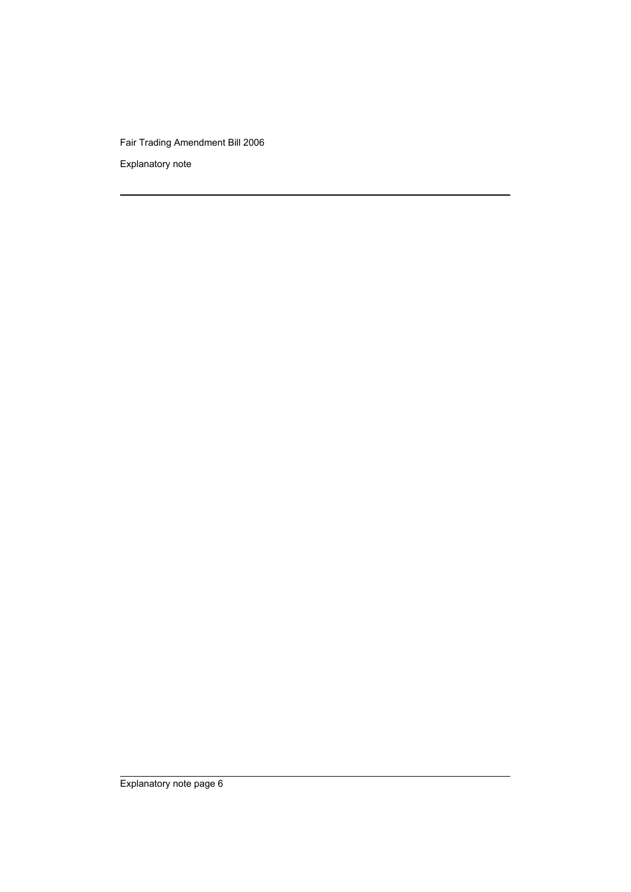Explanatory note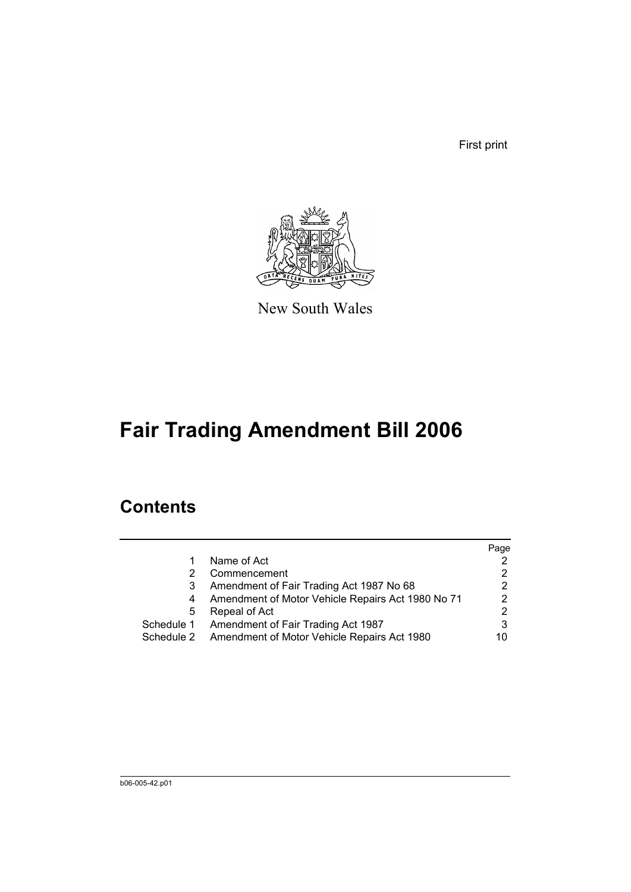First print



New South Wales

# **Fair Trading Amendment Bill 2006**

## **Contents**

|            |                                                   | Page                  |
|------------|---------------------------------------------------|-----------------------|
|            | Name of Act                                       | 2                     |
|            | Commencement                                      | 2                     |
|            | Amendment of Fair Trading Act 1987 No 68          | $\mathbf{2}^{\prime}$ |
|            | Amendment of Motor Vehicle Repairs Act 1980 No 71 | $\mathbf{2}^{\circ}$  |
| 5          | Repeal of Act                                     | $\mathcal{P}$         |
| Schedule 1 | Amendment of Fair Trading Act 1987                | 3                     |
| Schedule 2 | Amendment of Motor Vehicle Repairs Act 1980       | 10                    |
|            |                                                   |                       |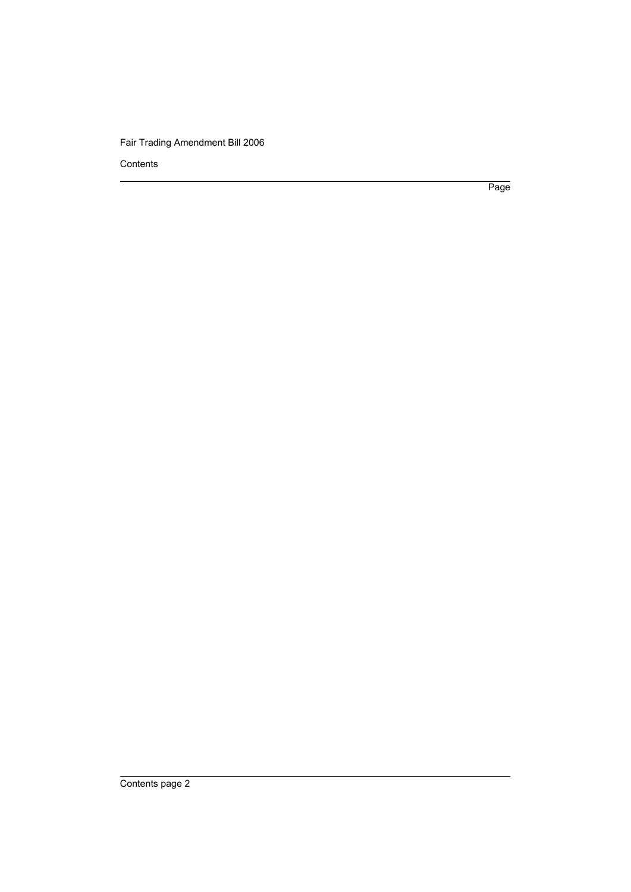Contents

Page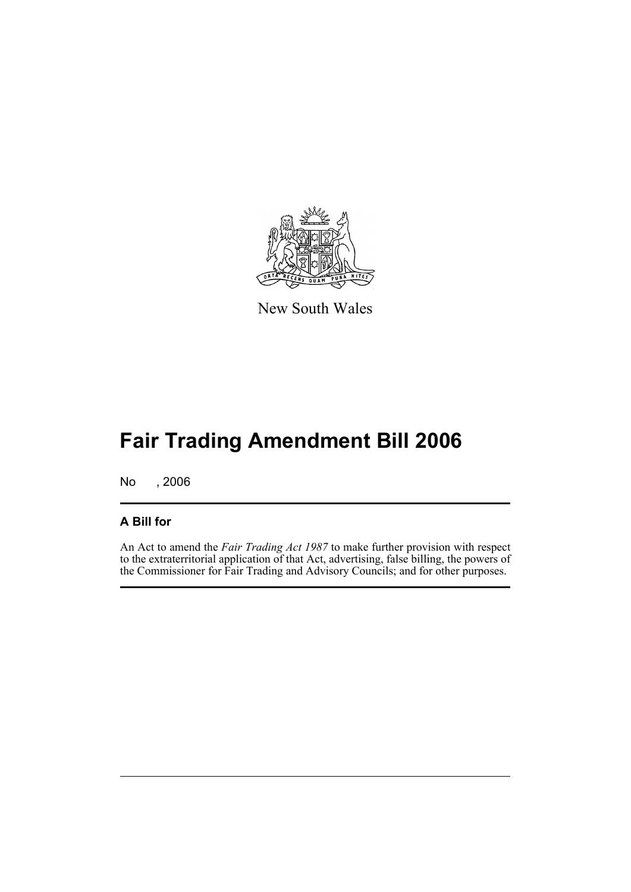

New South Wales

# **Fair Trading Amendment Bill 2006**

No , 2006

### **A Bill for**

An Act to amend the *Fair Trading Act 1987* to make further provision with respect to the extraterritorial application of that Act, advertising, false billing, the powers of the Commissioner for Fair Trading and Advisory Councils; and for other purposes.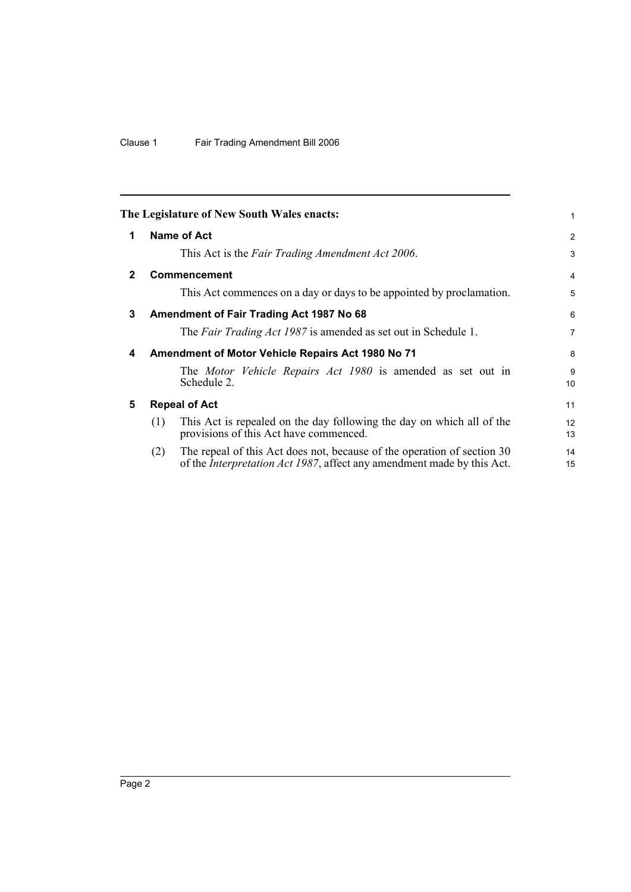<span id="page-9-4"></span><span id="page-9-3"></span><span id="page-9-2"></span><span id="page-9-1"></span><span id="page-9-0"></span>

|              |     | The Legislature of New South Wales enacts:                                                                                                                | 1              |
|--------------|-----|-----------------------------------------------------------------------------------------------------------------------------------------------------------|----------------|
| 1            |     | Name of Act                                                                                                                                               | 2              |
|              |     | This Act is the Fair Trading Amendment Act 2006.                                                                                                          | 3              |
| $\mathbf{2}$ |     | Commencement                                                                                                                                              | $\overline{4}$ |
|              |     | This Act commences on a day or days to be appointed by proclamation.                                                                                      | 5              |
| 3            |     | Amendment of Fair Trading Act 1987 No 68                                                                                                                  | 6              |
|              |     | The Fair Trading Act 1987 is amended as set out in Schedule 1.                                                                                            | $\overline{7}$ |
| 4            |     | Amendment of Motor Vehicle Repairs Act 1980 No 71                                                                                                         | 8              |
|              |     | The <i>Motor Vehicle Repairs Act 1980</i> is amended as set out in<br>Schedule 2.                                                                         | 9<br>10        |
| 5            |     | <b>Repeal of Act</b>                                                                                                                                      | 11             |
|              | (1) | This Act is repealed on the day following the day on which all of the<br>provisions of this Act have commenced.                                           | 12<br>13       |
|              | (2) | The repeal of this Act does not, because of the operation of section 30<br>of the <i>Interpretation Act 1987</i> , affect any amendment made by this Act. | 14<br>15       |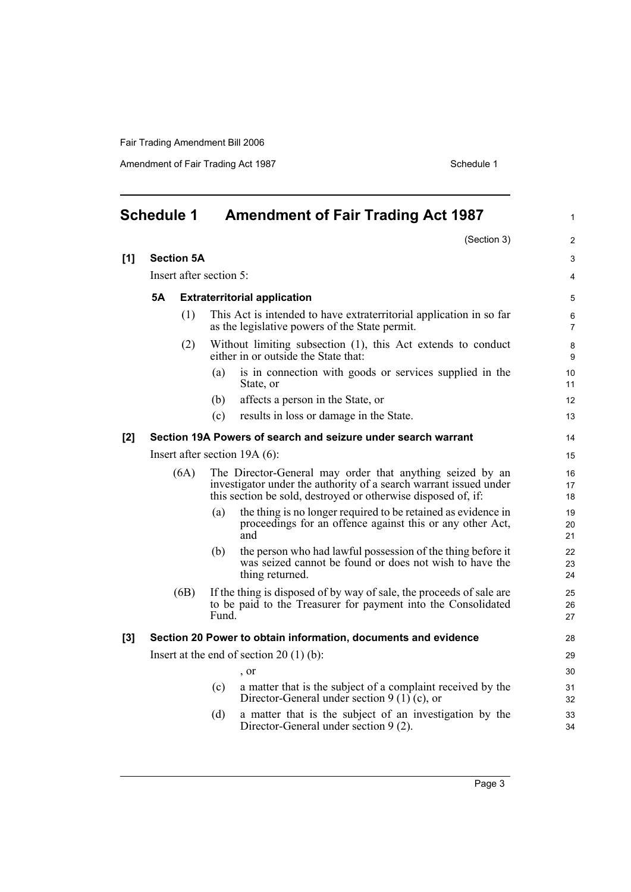Amendment of Fair Trading Act 1987 Schedule 1

<span id="page-10-0"></span>

| <b>Schedule 1</b> |           |                         | <b>Amendment of Fair Trading Act 1987</b> |                                                                                                                                                                                                 |                     |  |  |  |
|-------------------|-----------|-------------------------|-------------------------------------------|-------------------------------------------------------------------------------------------------------------------------------------------------------------------------------------------------|---------------------|--|--|--|
|                   |           |                         |                                           | (Section 3)                                                                                                                                                                                     | $\overline{2}$      |  |  |  |
| [1]               |           | <b>Section 5A</b>       |                                           |                                                                                                                                                                                                 | 3                   |  |  |  |
|                   |           | Insert after section 5: |                                           |                                                                                                                                                                                                 | 4                   |  |  |  |
|                   | <b>5A</b> |                         |                                           | <b>Extraterritorial application</b>                                                                                                                                                             | 5                   |  |  |  |
|                   |           | (1)                     |                                           | This Act is intended to have extraterritorial application in so far<br>as the legislative powers of the State permit.                                                                           | 6<br>$\overline{7}$ |  |  |  |
|                   |           | (2)                     |                                           | Without limiting subsection (1), this Act extends to conduct<br>either in or outside the State that:                                                                                            | 8<br>9              |  |  |  |
|                   |           |                         | (a)                                       | is in connection with goods or services supplied in the<br>State, or                                                                                                                            | 10<br>11            |  |  |  |
|                   |           |                         | (b)                                       | affects a person in the State, or                                                                                                                                                               | 12                  |  |  |  |
|                   |           |                         | (c)                                       | results in loss or damage in the State.                                                                                                                                                         | 13                  |  |  |  |
| [2]               |           |                         |                                           | Section 19A Powers of search and seizure under search warrant                                                                                                                                   | 14                  |  |  |  |
|                   |           |                         |                                           | Insert after section $19A(6)$ :                                                                                                                                                                 | 15                  |  |  |  |
|                   |           | (6A)                    |                                           | The Director-General may order that anything seized by an<br>investigator under the authority of a search warrant issued under<br>this section be sold, destroyed or otherwise disposed of, if: | 16<br>17<br>18      |  |  |  |
|                   |           |                         | (a)                                       | the thing is no longer required to be retained as evidence in<br>proceedings for an offence against this or any other Act,<br>and                                                               | 19<br>20<br>21      |  |  |  |
|                   |           |                         | (b)                                       | the person who had lawful possession of the thing before it<br>was seized cannot be found or does not wish to have the<br>thing returned.                                                       | 22<br>23<br>24      |  |  |  |
|                   |           | (6B)                    | Fund.                                     | If the thing is disposed of by way of sale, the proceeds of sale are<br>to be paid to the Treasurer for payment into the Consolidated                                                           | 25<br>26<br>27      |  |  |  |
| $[3]$             |           |                         |                                           | Section 20 Power to obtain information, documents and evidence                                                                                                                                  | 28                  |  |  |  |
|                   |           |                         |                                           | Insert at the end of section $20(1)(b)$ :                                                                                                                                                       | 29                  |  |  |  |
|                   |           |                         |                                           | , or                                                                                                                                                                                            | 30                  |  |  |  |
|                   |           |                         | (c)                                       | a matter that is the subject of a complaint received by the<br>Director-General under section 9 (1) (c), or                                                                                     | 31<br>32            |  |  |  |
|                   |           |                         | (d)                                       | a matter that is the subject of an investigation by the<br>Director-General under section 9 (2).                                                                                                | 33<br>34            |  |  |  |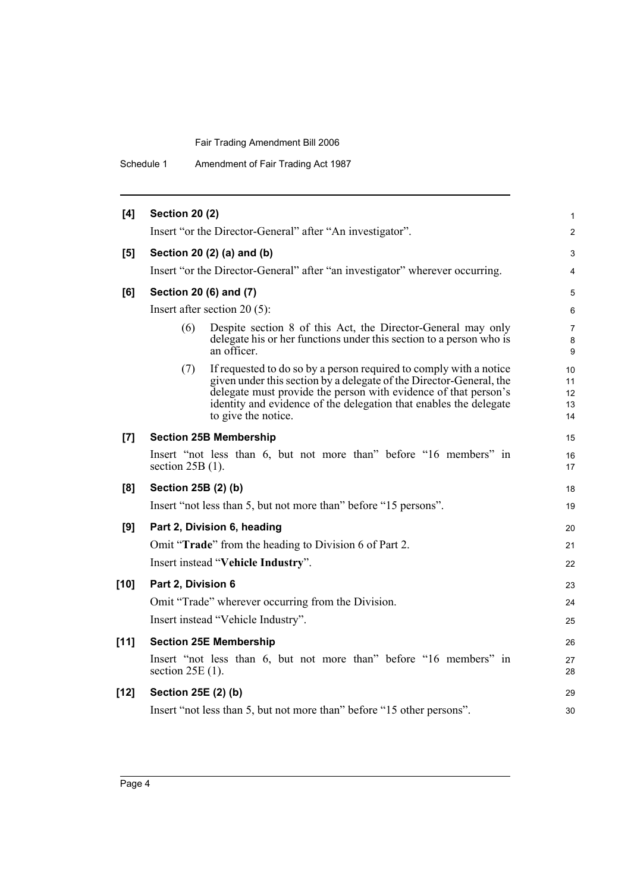Schedule 1 Amendment of Fair Trading Act 1987

| [4]    | <b>Section 20 (2)</b>                                                                                                                                                                                                                                                                                           | 1                          |
|--------|-----------------------------------------------------------------------------------------------------------------------------------------------------------------------------------------------------------------------------------------------------------------------------------------------------------------|----------------------------|
|        | Insert "or the Director-General" after "An investigator".                                                                                                                                                                                                                                                       | $\overline{c}$             |
| [5]    | Section 20 (2) (a) and (b)                                                                                                                                                                                                                                                                                      | 3                          |
|        | Insert "or the Director-General" after "an investigator" wherever occurring.                                                                                                                                                                                                                                    | 4                          |
| [6]    | Section 20 (6) and (7)                                                                                                                                                                                                                                                                                          | 5                          |
|        | Insert after section $20(5)$ :                                                                                                                                                                                                                                                                                  | 6                          |
|        | (6)<br>Despite section 8 of this Act, the Director-General may only<br>delegate his or her functions under this section to a person who is<br>an officer.                                                                                                                                                       | 7<br>8<br>9                |
|        | If requested to do so by a person required to comply with a notice<br>(7)<br>given under this section by a delegate of the Director-General, the<br>delegate must provide the person with evidence of that person's<br>identity and evidence of the delegation that enables the delegate<br>to give the notice. | 10<br>11<br>12<br>13<br>14 |
| [7]    | <b>Section 25B Membership</b>                                                                                                                                                                                                                                                                                   | 15                         |
|        | Insert "not less than 6, but not more than" before "16 members" in<br>section $25B(1)$ .                                                                                                                                                                                                                        | 16<br>17                   |
| [8]    | Section 25B (2) (b)                                                                                                                                                                                                                                                                                             | 18                         |
|        | Insert "not less than 5, but not more than" before "15 persons".                                                                                                                                                                                                                                                | 19                         |
| [9]    | Part 2, Division 6, heading                                                                                                                                                                                                                                                                                     | 20                         |
|        | Omit "Trade" from the heading to Division 6 of Part 2.                                                                                                                                                                                                                                                          | 21                         |
|        | Insert instead "Vehicle Industry".                                                                                                                                                                                                                                                                              | 22                         |
| $[10]$ | Part 2, Division 6                                                                                                                                                                                                                                                                                              | 23                         |
|        | Omit "Trade" wherever occurring from the Division.                                                                                                                                                                                                                                                              | 24                         |
|        | Insert instead "Vehicle Industry".                                                                                                                                                                                                                                                                              | 25                         |
| $[11]$ | <b>Section 25E Membership</b>                                                                                                                                                                                                                                                                                   | 26                         |
|        | Insert "not less than 6, but not more than" before "16 members" in<br>section $25E(1)$ .                                                                                                                                                                                                                        | 27<br>28                   |
| $[12]$ | Section 25E (2) (b)                                                                                                                                                                                                                                                                                             | 29                         |
|        | Insert "not less than 5, but not more than" before "15 other persons".                                                                                                                                                                                                                                          | 30                         |
|        |                                                                                                                                                                                                                                                                                                                 |                            |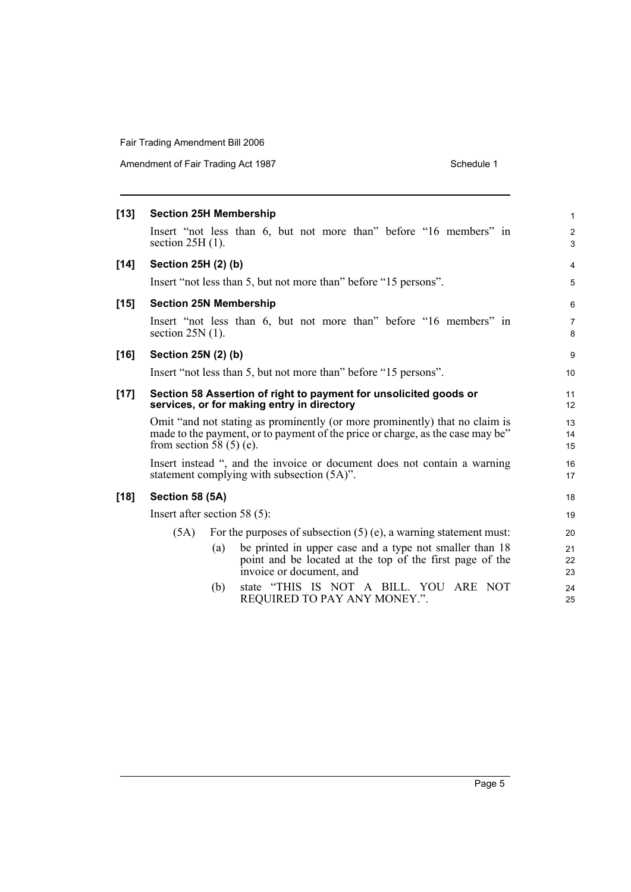| $[13]$ | <b>Section 25H Membership</b>                                                                                                                                                               |     |                                                                                                                                                 |  |  |  |  | $\mathbf{1}$        |
|--------|---------------------------------------------------------------------------------------------------------------------------------------------------------------------------------------------|-----|-------------------------------------------------------------------------------------------------------------------------------------------------|--|--|--|--|---------------------|
|        | Insert "not less than 6, but not more than" before "16 members" in<br>section $25H(1)$ .                                                                                                    |     |                                                                                                                                                 |  |  |  |  | $\overline{2}$<br>3 |
| $[14]$ | Section 25H (2) (b)                                                                                                                                                                         |     |                                                                                                                                                 |  |  |  |  | $\overline{4}$      |
|        | Insert "not less than 5, but not more than" before "15 persons".                                                                                                                            |     |                                                                                                                                                 |  |  |  |  | 5                   |
| $[15]$ | <b>Section 25N Membership</b>                                                                                                                                                               |     |                                                                                                                                                 |  |  |  |  | 6                   |
|        | Insert "not less than 6, but not more than" before "16 members" in<br>section $25N(1)$ .                                                                                                    |     |                                                                                                                                                 |  |  |  |  | $\overline{7}$<br>8 |
| $[16]$ | Section 25N (2) (b)                                                                                                                                                                         |     |                                                                                                                                                 |  |  |  |  | 9                   |
|        | Insert "not less than 5, but not more than" before "15 persons".                                                                                                                            |     |                                                                                                                                                 |  |  |  |  | 10                  |
| $[17]$ | Section 58 Assertion of right to payment for unsolicited goods or<br>services, or for making entry in directory                                                                             |     |                                                                                                                                                 |  |  |  |  | 11<br>12            |
|        | Omit "and not stating as prominently (or more prominently) that no claim is<br>made to the payment, or to payment of the price or charge, as the case may be"<br>from section 58 $(5)$ (e). |     |                                                                                                                                                 |  |  |  |  | 13<br>14<br>15      |
|        | Insert instead ", and the invoice or document does not contain a warning<br>statement complying with subsection (5A)".                                                                      |     |                                                                                                                                                 |  |  |  |  | 16<br>17            |
| $[18]$ | Section 58 (5A)                                                                                                                                                                             |     |                                                                                                                                                 |  |  |  |  | 18                  |
|        | Insert after section 58 $(5)$ :                                                                                                                                                             |     |                                                                                                                                                 |  |  |  |  | 19                  |
|        | (5A)                                                                                                                                                                                        |     | For the purposes of subsection $(5)$ (e), a warning statement must:                                                                             |  |  |  |  | 20                  |
|        |                                                                                                                                                                                             | (a) | be printed in upper case and a type not smaller than 18<br>point and be located at the top of the first page of the<br>invoice or document, and |  |  |  |  | 21<br>22<br>23      |
|        |                                                                                                                                                                                             | (b) | state "THIS IS NOT A BILL. YOU ARE NOT<br>REQUIRED TO PAY ANY MONEY.".                                                                          |  |  |  |  | 24<br>25            |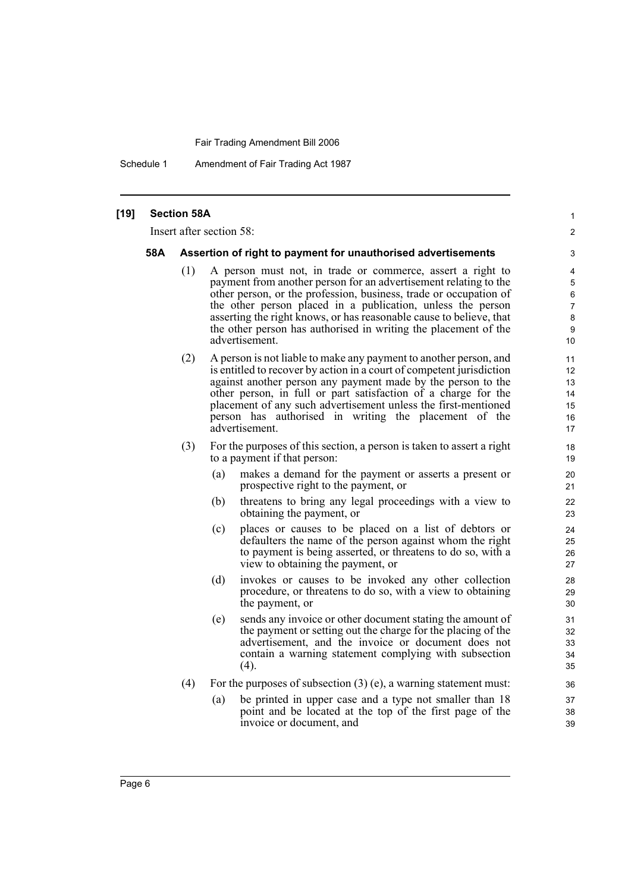Schedule 1 Amendment of Fair Trading Act 1987

### **[19] Section 58A**

Insert after section 58:

#### **58A Assertion of right to payment for unauthorised advertisements**

(1) A person must not, in trade or commerce, assert a right to payment from another person for an advertisement relating to the other person, or the profession, business, trade or occupation of the other person placed in a publication, unless the person asserting the right knows, or has reasonable cause to believe, that the other person has authorised in writing the placement of the advertisement.

1  $\mathfrak{p}$ 

- (2) A person is not liable to make any payment to another person, and is entitled to recover by action in a court of competent jurisdiction against another person any payment made by the person to the other person, in full or part satisfaction of a charge for the placement of any such advertisement unless the first-mentioned person has authorised in writing the placement of the advertisement.
- (3) For the purposes of this section, a person is taken to assert a right to a payment if that person:
	- (a) makes a demand for the payment or asserts a present or prospective right to the payment, or
	- (b) threatens to bring any legal proceedings with a view to obtaining the payment, or
	- (c) places or causes to be placed on a list of debtors or defaulters the name of the person against whom the right to payment is being asserted, or threatens to do so, with a view to obtaining the payment, or
	- (d) invokes or causes to be invoked any other collection procedure, or threatens to do so, with a view to obtaining the payment, or
	- (e) sends any invoice or other document stating the amount of the payment or setting out the charge for the placing of the advertisement, and the invoice or document does not contain a warning statement complying with subsection (4).
- (4) For the purposes of subsection  $(3)$  (e), a warning statement must:
	- (a) be printed in upper case and a type not smaller than 18 point and be located at the top of the first page of the invoice or document, and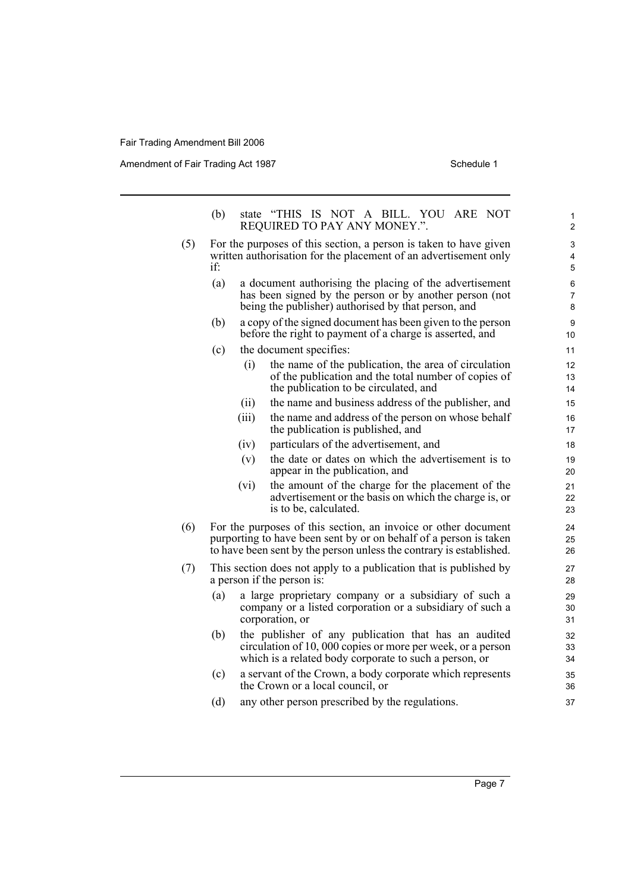Amendment of Fair Trading Act 1987 Schedule 1

|     | (b) |       | state "THIS IS NOT A BILL. YOU ARE NOT<br>REQUIRED TO PAY ANY MONEY.".                                                                                                                                     | 1<br>$\overline{c}$      |
|-----|-----|-------|------------------------------------------------------------------------------------------------------------------------------------------------------------------------------------------------------------|--------------------------|
| (5) | if: |       | For the purposes of this section, a person is taken to have given<br>written authorisation for the placement of an advertisement only                                                                      | 3<br>4<br>$\mathbf 5$    |
|     | (a) |       | a document authorising the placing of the advertisement<br>has been signed by the person or by another person (not<br>being the publisher) authorised by that person, and                                  | 6<br>$\overline{7}$<br>8 |
|     | (b) |       | a copy of the signed document has been given to the person<br>before the right to payment of a charge is asserted, and                                                                                     | 9<br>10                  |
|     | (c) |       | the document specifies:                                                                                                                                                                                    | 11                       |
|     |     | (i)   | the name of the publication, the area of circulation<br>of the publication and the total number of copies of<br>the publication to be circulated, and                                                      | 12<br>13<br>14           |
|     |     | (ii)  | the name and business address of the publisher, and                                                                                                                                                        | 15                       |
|     |     | (iii) | the name and address of the person on whose behalf<br>the publication is published, and                                                                                                                    | 16<br>17                 |
|     |     | (iv)  | particulars of the advertisement, and                                                                                                                                                                      | 18                       |
|     |     | (v)   | the date or dates on which the advertisement is to<br>appear in the publication, and                                                                                                                       | 19<br>20                 |
|     |     | (vi)  | the amount of the charge for the placement of the<br>advertisement or the basis on which the charge is, or<br>is to be, calculated.                                                                        | 21<br>22<br>23           |
| (6) |     |       | For the purposes of this section, an invoice or other document<br>purporting to have been sent by or on behalf of a person is taken<br>to have been sent by the person unless the contrary is established. | 24<br>25<br>26           |
| (7) |     |       | This section does not apply to a publication that is published by<br>a person if the person is:                                                                                                            | 27<br>28                 |
|     | (a) |       | a large proprietary company or a subsidiary of such a<br>company or a listed corporation or a subsidiary of such a<br>corporation, or                                                                      | 29<br>30<br>31           |
|     | (b) |       | the publisher of any publication that has an audited<br>circulation of 10,000 copies or more per week, or a person<br>which is a related body corporate to such a person, or                               | 32<br>33<br>34           |
|     | (c) |       | a servant of the Crown, a body corporate which represents<br>the Crown or a local council, or                                                                                                              | 35<br>36                 |
|     | (d) |       | any other person prescribed by the regulations.                                                                                                                                                            | 37                       |

(d) any other person prescribed by the regulations.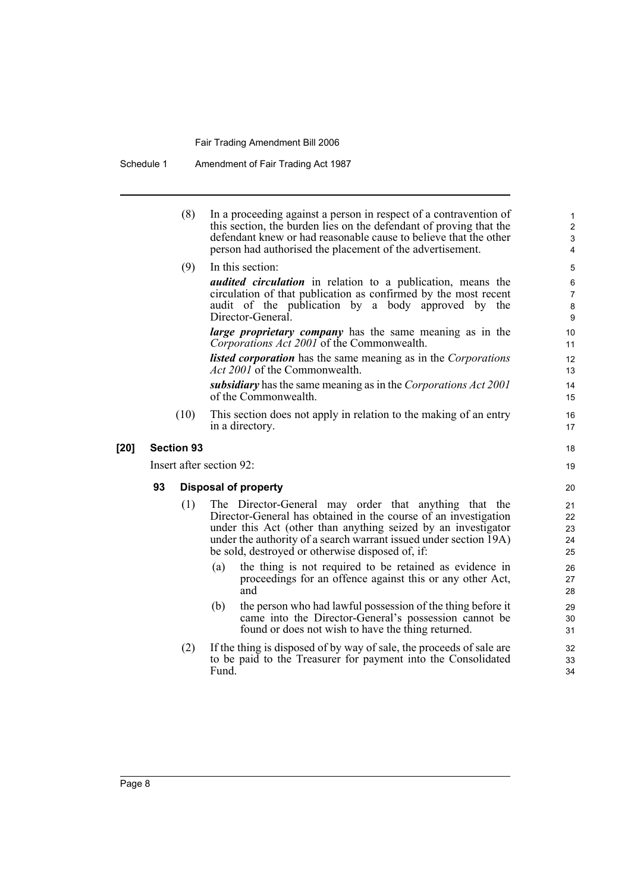Schedule 1 Amendment of Fair Trading Act 1987

- (8) In a proceeding against a person in respect of a contravention of this section, the burden lies on the defendant of proving that the defendant knew or had reasonable cause to believe that the other person had authorised the placement of the advertisement.
- (9) In this section:

*audited circulation* in relation to a publication, means the circulation of that publication as confirmed by the most recent audit of the publication by a body approved by the Director-General.

*large proprietary company* has the same meaning as in the *Corporations Act 2001* of the Commonwealth.

*listed corporation* has the same meaning as in the *Corporations Act 2001* of the Commonwealth.

*subsidiary* has the same meaning as in the *Corporations Act 2001* of the Commonwealth.

(10) This section does not apply in relation to the making of an entry in a directory.

#### **[20] Section 93**

Insert after section 92:

#### **93 Disposal of property**

- (1) The Director-General may order that anything that the Director-General has obtained in the course of an investigation under this Act (other than anything seized by an investigator under the authority of a search warrant issued under section 19A) be sold, destroyed or otherwise disposed of, if:
	- (a) the thing is not required to be retained as evidence in proceedings for an offence against this or any other Act, and
	- (b) the person who had lawful possession of the thing before it came into the Director-General's possession cannot be found or does not wish to have the thing returned.
- (2) If the thing is disposed of by way of sale, the proceeds of sale are to be paid to the Treasurer for payment into the Consolidated Fund.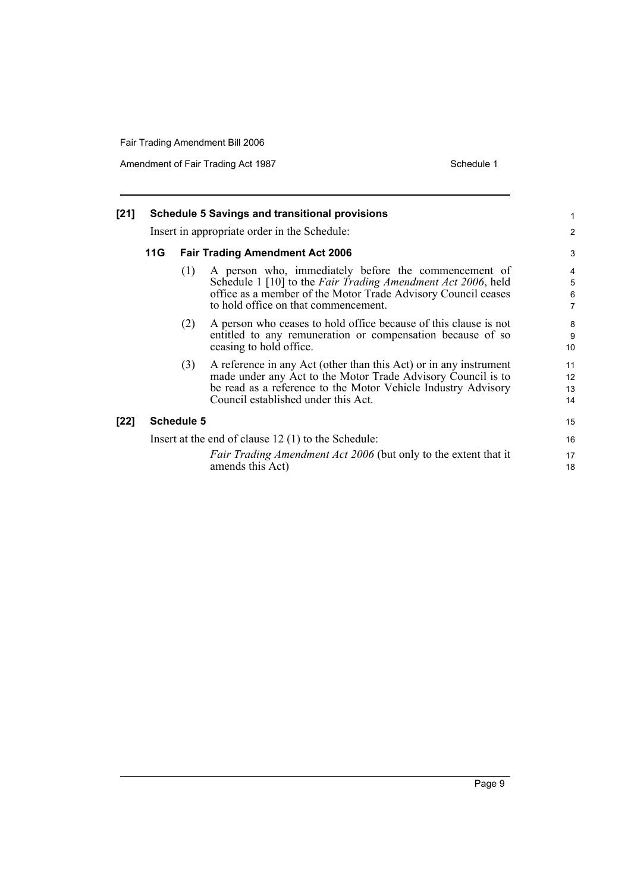Amendment of Fair Trading Act 1987 Schedule 1

| [21] |                                              |                   | <b>Schedule 5 Savings and transitional provisions</b>                                                                                                                                                                                     | $\mathbf{1}$                  |  |  |
|------|----------------------------------------------|-------------------|-------------------------------------------------------------------------------------------------------------------------------------------------------------------------------------------------------------------------------------------|-------------------------------|--|--|
|      | Insert in appropriate order in the Schedule: |                   |                                                                                                                                                                                                                                           |                               |  |  |
|      | 11G                                          |                   | <b>Fair Trading Amendment Act 2006</b>                                                                                                                                                                                                    | 3                             |  |  |
|      |                                              | (1)               | A person who, immediately before the commencement of<br>Schedule 1 [10] to the Fair Trading Amendment Act 2006, held<br>office as a member of the Motor Trade Advisory Council ceases<br>to hold office on that commencement.             | 4<br>5<br>6<br>$\overline{7}$ |  |  |
|      |                                              | (2)               | A person who ceases to hold office because of this clause is not<br>entitled to any remuneration or compensation because of so<br>ceasing to hold office.                                                                                 | 8<br>9<br>10                  |  |  |
|      |                                              | (3)               | A reference in any Act (other than this Act) or in any instrument<br>made under any Act to the Motor Trade Advisory Council is to<br>be read as a reference to the Motor Vehicle Industry Advisory<br>Council established under this Act. | 11<br>12<br>13<br>14          |  |  |
| [22] |                                              | <b>Schedule 5</b> |                                                                                                                                                                                                                                           | 15                            |  |  |
|      |                                              |                   | Insert at the end of clause $12(1)$ to the Schedule:                                                                                                                                                                                      | 16                            |  |  |
|      |                                              |                   | <i>Fair Trading Amendment Act 2006</i> (but only to the extent that it<br>amends this Act)                                                                                                                                                | 17<br>18                      |  |  |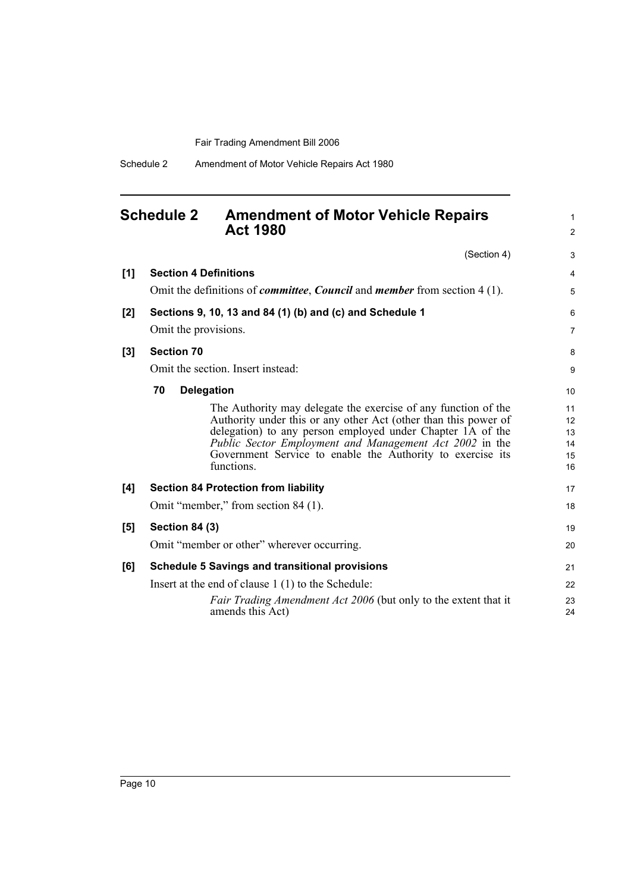### <span id="page-17-0"></span>**Schedule 2 Amendment of Motor Vehicle Repairs Act 1980**

|       | (Section 4)                                                                                                                                                                                                                                                                                                                            | 3                                |
|-------|----------------------------------------------------------------------------------------------------------------------------------------------------------------------------------------------------------------------------------------------------------------------------------------------------------------------------------------|----------------------------------|
| [1]   | <b>Section 4 Definitions</b>                                                                                                                                                                                                                                                                                                           | $\overline{4}$                   |
|       | Omit the definitions of <i>committee</i> , <i>Council</i> and <i>member</i> from section 4 (1).                                                                                                                                                                                                                                        | 5                                |
| [2]   | Sections 9, 10, 13 and 84 (1) (b) and (c) and Schedule 1                                                                                                                                                                                                                                                                               | 6                                |
|       | Omit the provisions.                                                                                                                                                                                                                                                                                                                   | $\overline{7}$                   |
| $[3]$ | <b>Section 70</b>                                                                                                                                                                                                                                                                                                                      | 8                                |
|       | Omit the section. Insert instead:                                                                                                                                                                                                                                                                                                      | 9                                |
|       | 70<br><b>Delegation</b>                                                                                                                                                                                                                                                                                                                | 10                               |
|       | The Authority may delegate the exercise of any function of the<br>Authority under this or any other Act (other than this power of<br>delegation) to any person employed under Chapter 1A of the<br>Public Sector Employment and Management Act 2002 in the<br>Government Service to enable the Authority to exercise its<br>functions. | 11<br>12<br>13<br>14<br>15<br>16 |
| [4]   | <b>Section 84 Protection from liability</b>                                                                                                                                                                                                                                                                                            | 17                               |
|       | Omit "member," from section 84 (1).                                                                                                                                                                                                                                                                                                    | 18                               |
| [5]   | <b>Section 84 (3)</b>                                                                                                                                                                                                                                                                                                                  | 19                               |
|       | Omit "member or other" wherever occurring.                                                                                                                                                                                                                                                                                             | 20                               |
| [6]   | <b>Schedule 5 Savings and transitional provisions</b>                                                                                                                                                                                                                                                                                  | 21                               |
|       | Insert at the end of clause 1 (1) to the Schedule:                                                                                                                                                                                                                                                                                     | 22                               |
|       | <i>Fair Trading Amendment Act 2006</i> (but only to the extent that it<br>amends this Act)                                                                                                                                                                                                                                             | 23<br>24                         |

1 2